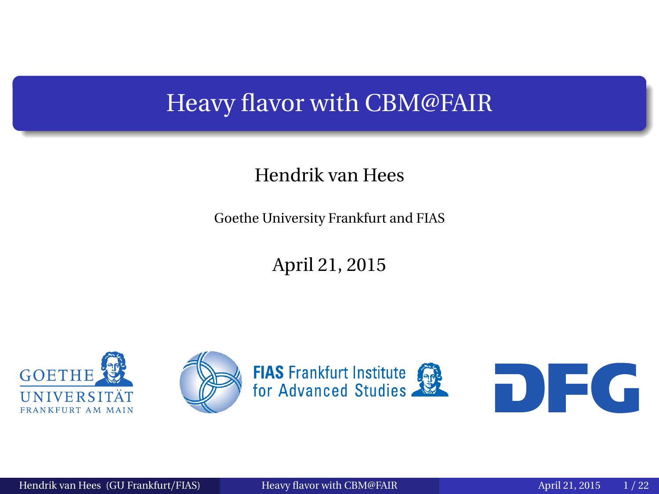#### <span id="page-0-0"></span>Heavy flavor with CBM@FAIR

#### Hendrik van Hees

Goethe University Frankfurt and FIAS

April 21, 2015

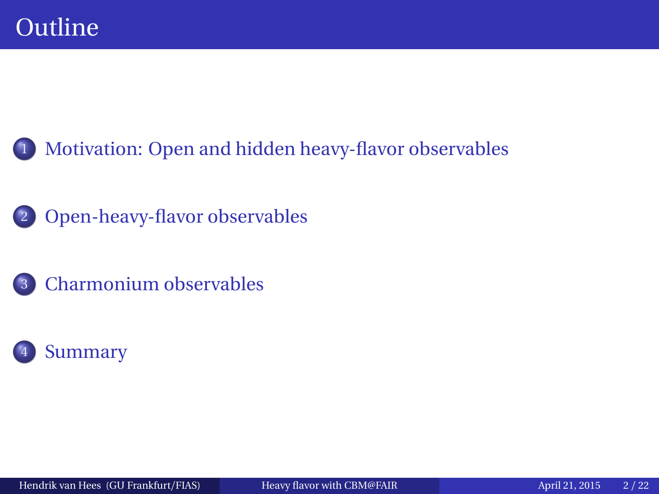

[Open-heavy-flavor observables](#page-3-0)



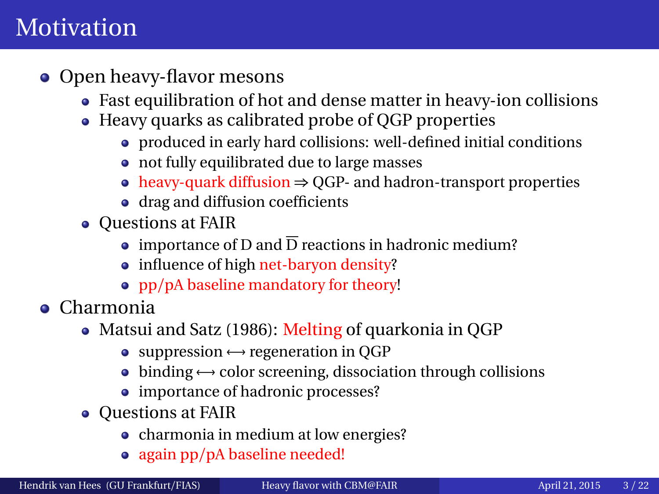## <span id="page-2-0"></span>**Motivation**

- Open heavy-flavor mesons
	- Fast equilibration of hot and dense matter in heavy-ion collisions
	- Heavy quarks as calibrated probe of QGP properties
		- produced in early hard collisions: well-defined initial conditions
		- not fully equilibrated due to large masses
		- heavy-quark diffusion ⇒ QGP- and hadron-transport properties
		- drag and diffusion coefficients
	- Questions at FAIR
		- importance of D and  $\overline{D}$  reactions in hadronic medium?
		- influence of high net-baryon density?
		- pp/pA baseline mandatory for theory!
- Charmonia
	- Matsui and Satz (1986): Melting of quarkonia in OGP
		- $\bullet$  suppression  $\leftrightarrow$  regeneration in QGP
		- $\bullet$  binding  $\leftrightarrow$  color screening, dissociation through collisions
		- importance of hadronic processes?
	- Questions at FAIR
		- charmonia in medium at low energies?
		- again pp/pA baseline needed!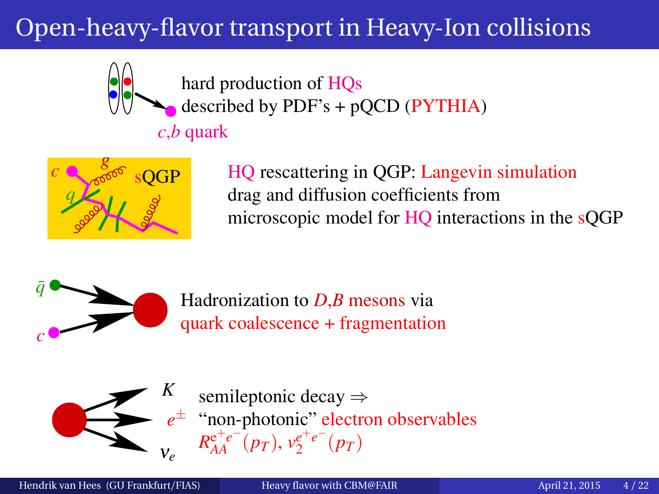# <span id="page-3-0"></span>Open-heavy-flavor transport in Heavy-Ion collisions



hard production of HQs described by  $PDF's + pQCD$  ( $PYTHIA$ )

*c*,*b* quark



HQ rescattering in QGP: Langevin simulation drag and diffusion coefficients from microscopic model for HQ interactions in the sQGP



Hadronization to *D*,*B* mesons via quark coalescence + fragmentation



semileptonic decay ⇒ "non-photonic" electron observables *e*±  $V_e$   $R_{AA}^{e^+e^-}(p_T), v_2^{e^+e^-}(p_T)$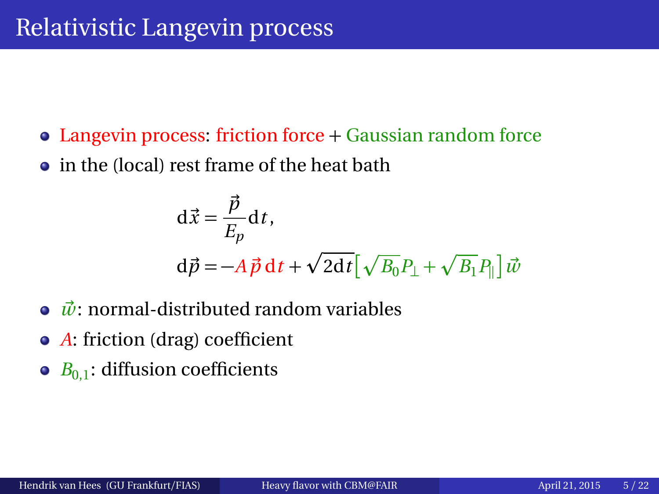- Langevin process: friction force + Gaussian random force
- in the (local) rest frame of the heat bath

$$
\begin{aligned} \mathbf{d}\vec{x} &= \frac{\vec{p}}{E_p} \mathbf{d}\,t, \\ \mathbf{d}\vec{p} &= -A\,\vec{p}\,\mathbf{d}\,t + \sqrt{2\mathbf{d}t} \big[\sqrt{B_0}P_\perp + \sqrt{B_1}P_\parallel\big]\,\vec{w} \end{aligned}
$$

- ◆  $\vec{w}$ : normal-distributed random variables
- *A*: friction (drag) coefficient
- $\bullet$  *B*<sub>0,1</sub>: diffusion coefficients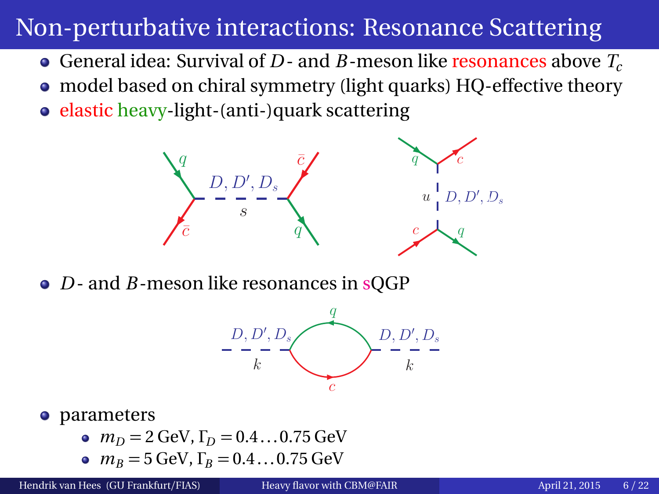## Non-perturbative interactions: Resonance Scattering

- General idea: Survival of *D* and *B*-meson like resonances above *T<sup>c</sup>*
- model based on chiral symmetry (light quarks) HQ-effective theory
- elastic heavy-light-(anti-)quark scattering



• *D* - and *B* - meson like resonances in sQGP



#### **•** parameters

- $m_D = 2$  GeV,  $\Gamma_D = 0.4...0.75$  GeV
- $m_B = 5$  GeV,  $\Gamma_B = 0.4...0.75$  GeV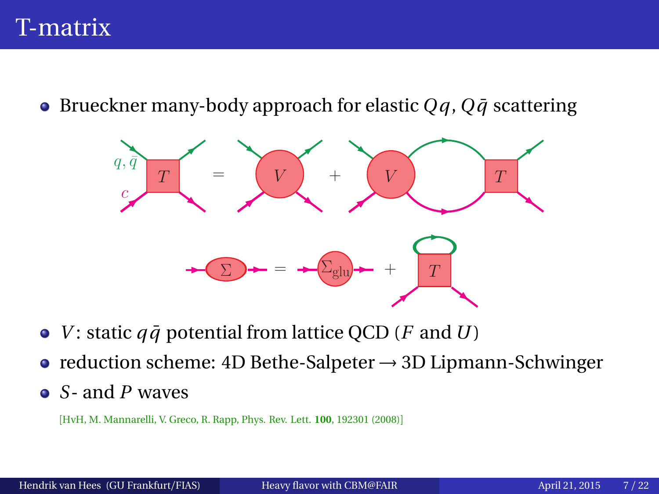#### T-matrix

**•** Brueckner many-body approach for elastic  $Qq$ ,  $Q\bar{q}$  scattering



- *V*: static  $q\bar{q}$  potential from lattice QCD (*F* and *U*)
- reduction scheme: 4D Bethe-Salpeter → 3D Lipmann-Schwinger
- *S* and *P* waves

[HvH, M. Mannarelli, V. Greco, R. Rapp, Phys. Rev. Lett. **100**, 192301 (2008)]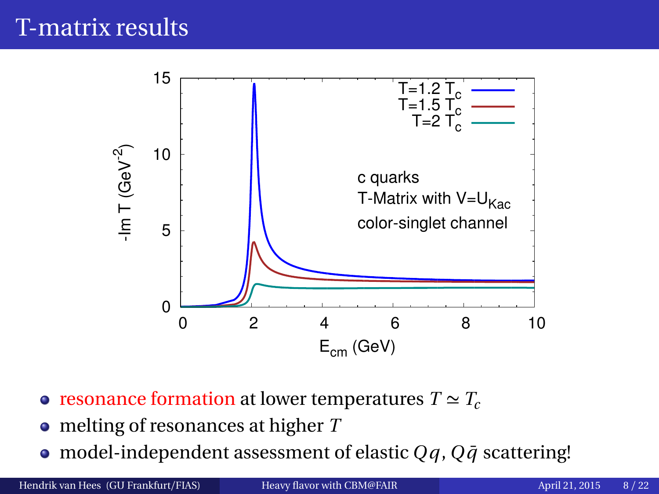## T-matrix results



- resonance formation at lower temperatures  $T \simeq T_c$
- melting of resonances at higher *T*
- $\bullet$  model-independent assessment of elastic *Qq*, *Qq*<sup> $\bar{q}$ </sup> scattering!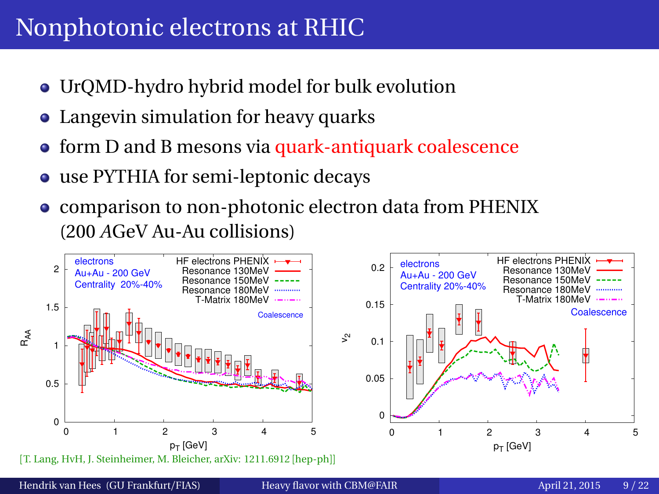#### Nonphotonic electrons at RHIC

- UrQMD-hydro hybrid model for bulk evolution
- Langevin simulation for heavy quarks
- **o** form D and B mesons via quark-antiquark coalescence
- use PYTHIA for semi-leptonic decays
- comparison to non-photonic electron data from PHENIX (200 *A*GeV Au-Au collisions)

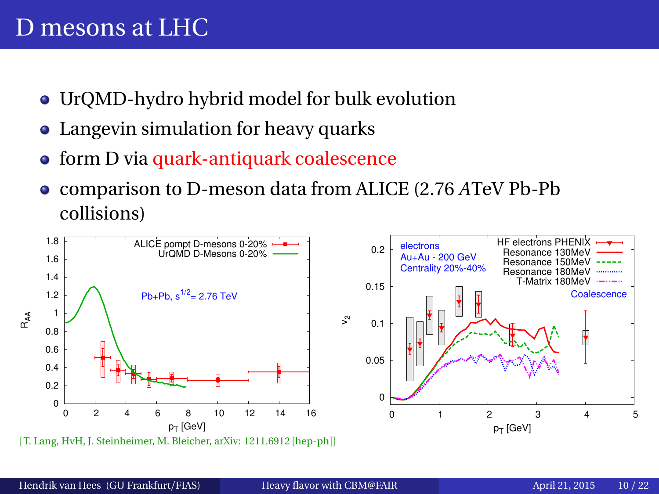#### D mesons at LHC

- UrQMD-hydro hybrid model for bulk evolution
- Langevin simulation for heavy quarks
- **•** form D via quark-antiquark coalescence
- comparison to D-meson data from ALICE (2.76 *A*TeV Pb-Pb  $\bullet$ collisions)

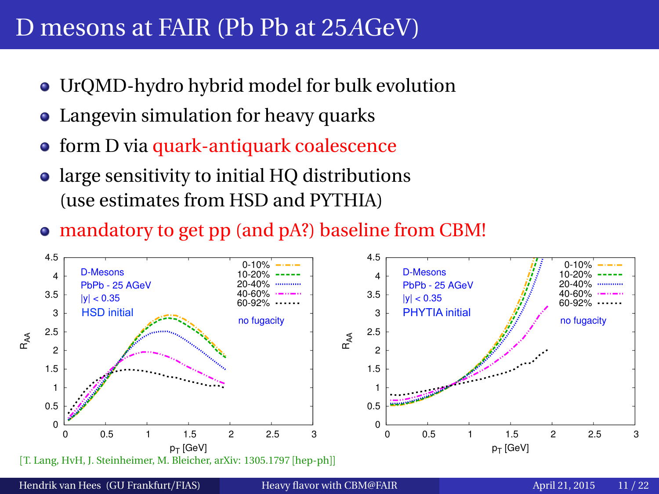#### D mesons at FAIR (Pb Pb at 25*A*GeV)

- UrQMD-hydro hybrid model for bulk evolution
- Langevin simulation for heavy quarks
- form D via quark-antiquark coalescence
- large sensitivity to initial HQ distributions (use estimates from HSD and PYTHIA)
- mandatory to get pp (and pA?) baseline from CBM!



Hendrik van Hees (GU Frankfurt/FIAS) [Heavy flavor with CBM@FAIR](#page-0-0) April 21, 2015 11/22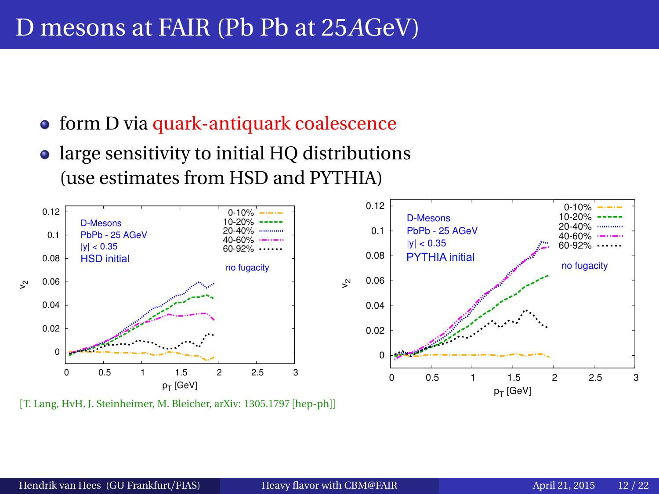#### D mesons at FAIR (Pb Pb at 25*A*GeV)

- **•** form D via quark-antiquark coalescence
- large sensitivity to initial HQ distributions (use estimates from HSD and PYTHIA)



[T. Lang, HvH, J. Steinheimer, M. Bleicher, arXiv: 1305.1797 [hep-ph]]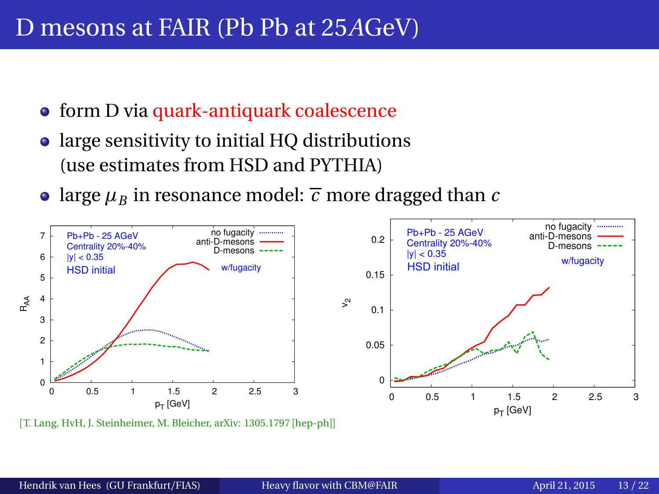#### D mesons at FAIR (Pb Pb at 25*A*GeV)

- form D via quark-antiquark coalescence
- large sensitivity to initial HQ distributions (use estimates from HSD and PYTHIA)
- large  $\mu_B$  in resonance model:  $\overline{c}$  more dragged than  $c$



[T. Lang, HvH, J. Steinheimer, M. Bleicher, arXiv: 1305.1797 [hep-ph]]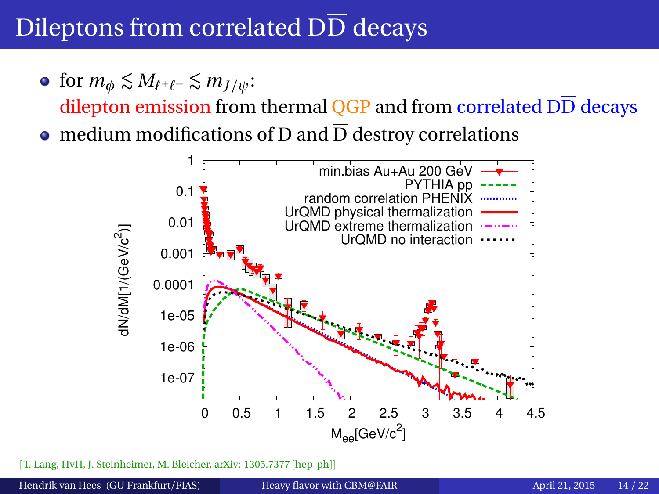# Dileptons from correlated DD decays

 $\bullet$  for  $m_{\phi} \lesssim M_{\ell^+\ell^-} \lesssim m_{I/\psi}$ :

dilepton emission from thermal  $\overline{QGP}$  and from correlated  $D\overline{D}$  decays

• medium modifications of D and  $\overline{D}$  destroy correlations



[T. Lang, HvH, J. Steinheimer, M. Bleicher, arXiv: 1305.7377 [hep-ph]]

Hendrik van Hees (GU Frankfurt/FIAS) [Heavy flavor with CBM@FAIR](#page-0-0) April 21, 2015 14/22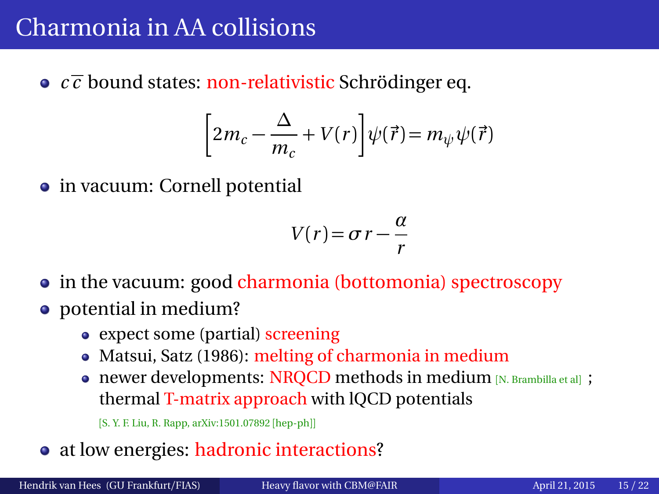## <span id="page-14-0"></span>Charmonia in AA collisions

 $\circ$   $c\bar{c}$  bound states: non-relativistic Schrödinger eq.

$$
\left[2m_c - \frac{\Delta}{m_c} + V(r)\right] \psi(\vec{r}) = m_{\psi} \psi(\vec{r})
$$

• in vacuum: Cornell potential

$$
V(r) = \sigma r - \frac{\alpha}{r}
$$

- in the vacuum: good charmonia (bottomonia) spectroscopy
- potential in medium?
	- expect some (partial) screening
	- Matsui, Satz (1986): melting of charmonia in medium
	- newer developments: NRQCD methods in medium [N. Brambilla et al] ; thermal T-matrix approach with lQCD potentials

[S. Y. F. Liu, R. Rapp, arXiv:1501.07892 [hep-ph]]

• at low energies: hadronic interactions?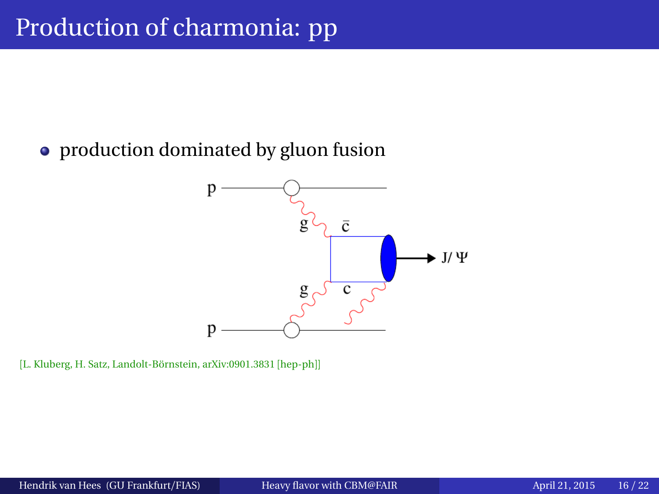#### • production dominated by gluon fusion



[L. Kluberg, H. Satz, Landolt-Börnstein, arXiv:0901.3831 [hep-ph]]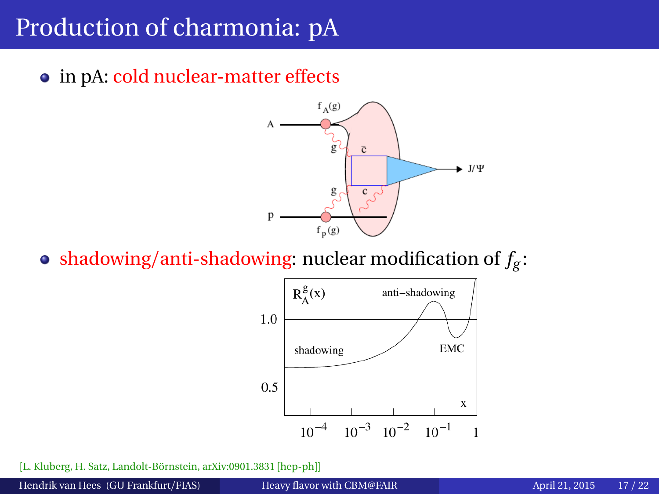## Production of charmonia: pA

• in pA: cold nuclear-matter effects



shadowing/anti-shadowing: nuclear modification of *f<sup>g</sup>* :



[L. Kluberg, H. Satz, Landolt-Börnstein, arXiv:0901.3831 [hep-ph]]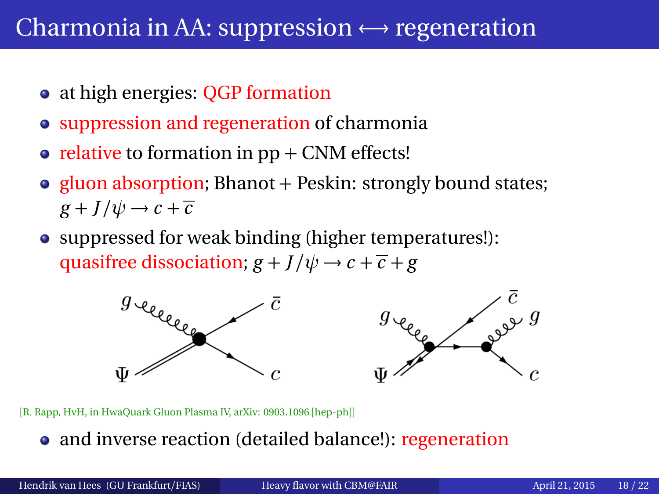#### Charmonia in AA: suppression  $\leftrightarrow$  regeneration

- at high energies: QGP formation
- suppression and regeneration of charmonia
- relative to formation in  $pp + CNM$  effects!
- gluon absorption; Bhanot + Peskin: strongly bound states;  $g + J/\psi \rightarrow c + \overline{c}$
- suppressed for weak binding (higher temperatures!): quasifree dissociation;  $g + J/\psi \rightarrow c + \overline{c} + g$



[R. Rapp, HvH, in HwaQuark Gluon Plasma IV, arXiv: 0903.1096 [hep-ph]]

• and inverse reaction (detailed balance!): regeneration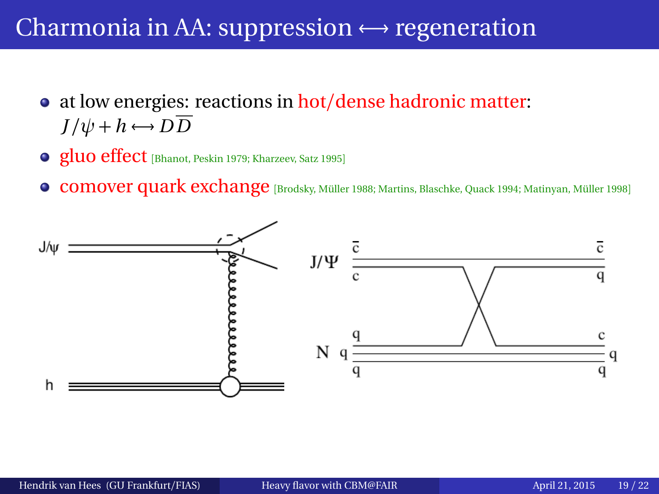#### Charmonia in AA: suppression  $\leftrightarrow$  regeneration

- at low energies: reactions in hot/dense hadronic matter:  $J/\psi + h \leftrightarrow D\overline{D}$
- gluo effect [Bhanot, Peskin 1979; Kharzeev, Satz 1995]
- **comover quark exchange** [Brodsky, Müller 1988; Martins, Blaschke, Quack 1994; Matinyan, Müller 1998]

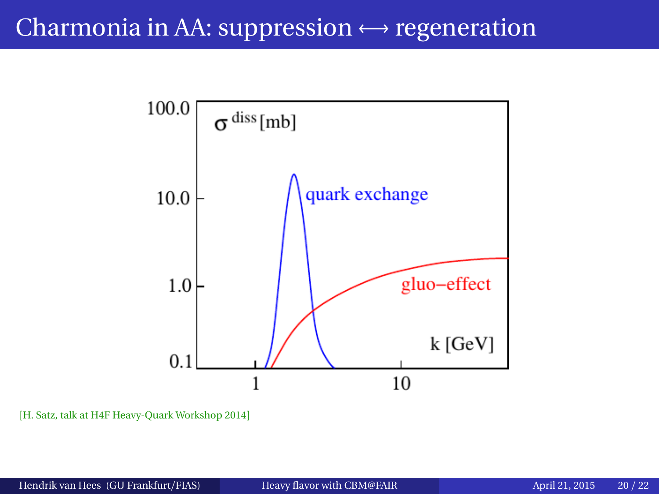#### Charmonia in AA: suppression  $\leftrightarrow$  regeneration



[H. Satz, talk at H4F Heavy-Quark Workshop 2014]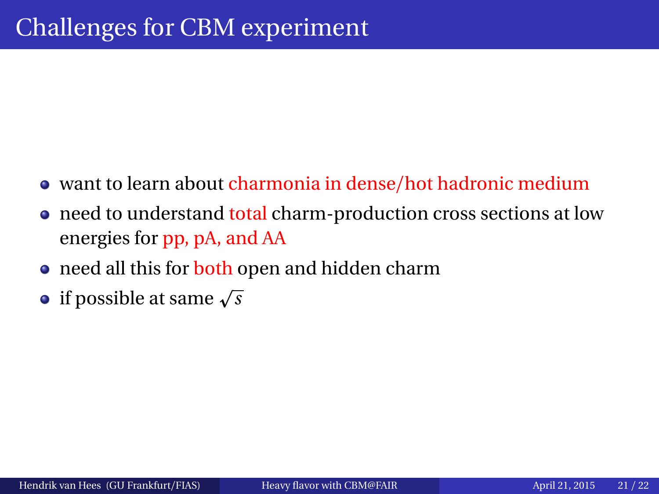- want to learn about charmonia in dense/hot hadronic medium
- need to understand total charm-production cross sections at low energies for pp, pA, and AA
- need all this for both open and hidden charm
- $\frac{1}{2}$  if possible at same  $\sqrt{s}$